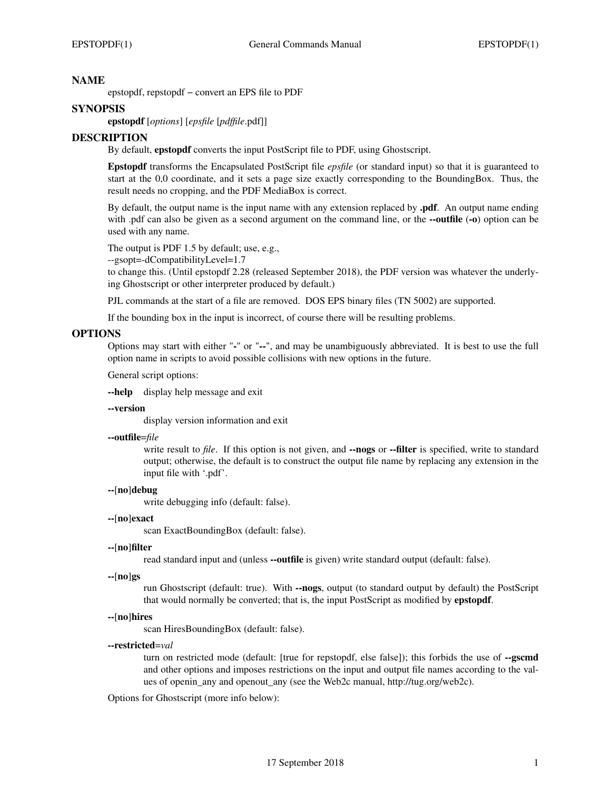# **NAME**

epstopdf, repstopdf − convert an EPS file to PDF

# **SYNOPSIS**

**epstopdf** [*options*] [*epsfile* [*pdffile*.pdf]]

# **DESCRIPTION**

By default, **epstopdf** converts the input PostScript file to PDF, using Ghostscript.

**Epstopdf** transforms the Encapsulated PostScript file *epsfile* (or standard input) so that it is guaranteed to start at the 0,0 coordinate, and it sets a page size exactly corresponding to the BoundingBox. Thus, the result needs no cropping, and the PDF MediaBox is correct.

By default, the output name is the input name with any extension replaced by **.pdf**. An output name ending with .pdf can also be given as a second argument on the command line, or the **--outfile** (**-o**) option can be used with any name.

The output is PDF 1.5 by default; use, e.g.,

--gsopt=-dCompatibilityLevel=1.7

to change this. (Until epstopdf 2.28 (released September 2018), the PDF version was whatever the underlying Ghostscript or other interpreter produced by default.)

PJL commands at the start of a file are removed. DOS EPS binary files (TN 5002) are supported.

If the bounding box in the input is incorrect, of course there will be resulting problems.

# **OPTIONS**

Options may start with either "**-**" or "**--**", and may be unambiguously abbreviated. It is best to use the full option name in scripts to avoid possible collisions with new options in the future.

General script options:

**--help** display help message and exit

## **--version**

display version information and exit

## **--outfile**=*file*

write result to *file*. If this option is not given, and **--nogs** or **--filter** is specified, write to standard output; otherwise, the default is to construct the output file name by replacing any extension in the input file with '.pdf'.

## **--**[**no**]**debug**

write debugging info (default: false).

#### **--**[**no**]**exact**

scan ExactBoundingBox (default: false).

#### **--**[**no**]**filter**

read standard input and (unless **--outfile** is given) write standard output (default: false).

#### **--**[**no**]**gs**

run Ghostscript (default: true). With **--nogs**, output (to standard output by default) the PostScript that would normally be converted; that is, the input PostScript as modified by **epstopdf**.

#### **--**[**no**]**hires**

scan HiresBoundingBox (default: false).

#### **--restricted**=*val*

turn on restricted mode (default: [true for repstopdf, else false]); this forbids the use of **--gscmd** and other options and imposes restrictions on the input and output file names according to the values of openin any and openout any (see the Web2c manual, http://tug.org/web2c).

Options for Ghostscript (more info below):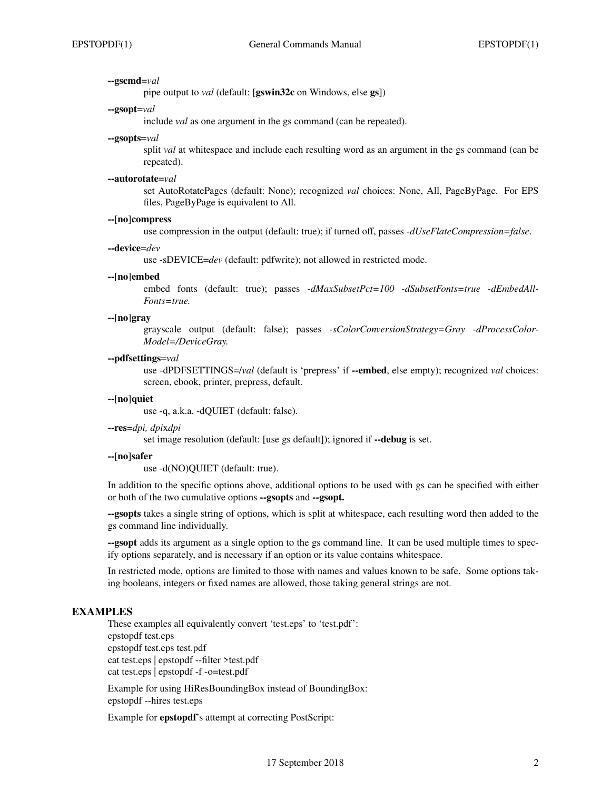## **--gscmd**=*val*

pipe output to *val* (default: [**gswin32c** on Windows, else **gs**])

### **--gsopt**=*val*

include *val* as one argument in the gs command (can be repeated).

## **--gsopts**=*val*

split *val* at whitespace and include each resulting word as an argument in the gs command (can be repeated).

#### **--autorotate**=*val*

set AutoRotatePages (default: None); recognized *val* choices: None, All, PageByPage. For EPS files, PageByPage is equivalent to All.

## **--**[**no**]**compress**

use compression in the output (default: true); if turned off, passes *-dUseFlateCompression=false*.

## **--device**=*dev*

use -sDEVICE=*dev* (default: pdfwrite); not allowed in restricted mode.

### **--**[**no**]**embed**

embed fonts (default: true); passes *-dMaxSubsetPct=100 -dSubsetFonts=true -dEmbedAll-Fonts=true.*

# **--**[**no**]**gray**

grayscale output (default: false); passes *-sColorConversionStrategy=Gray -dProcessColor-Model=/DeviceGray.*

### **--pdfsettings**=*val*

use -dPDFSETTINGS=/*val* (default is 'prepress' if **--embed**, else empty); recognized *val* choices: screen, ebook, printer, prepress, default.

## **--**[**no**]**quiet**

use -q, a.k.a. -dQUIET (default: false).

# **--res**=*dpi, dpi*x*dpi*

set image resolution (default: [use gs default]); ignored if **--debug** is set.

# **--**[**no**]**safer**

use -d(NO)QUIET (default: true).

In addition to the specific options above, additional options to be used with gs can be specified with either or both of the two cumulative options **--gsopts** and **--gsopt.**

**--gsopts** takes a single string of options, which is split at whitespace, each resulting word then added to the gs command line individually.

**--gsopt** adds its argument as a single option to the gs command line. It can be used multiple times to specify options separately, and is necessary if an option or its value contains whitespace.

In restricted mode, options are limited to those with names and values known to be safe. Some options taking booleans, integers or fixed names are allowed, those taking general strings are not.

# **EXAMPLES**

These examples all equivalently convert 'test.eps' to 'test.pdf': epstopdf test.eps epstopdf test.eps test.pdf cat test.eps | epstopdf --filter >test.pdf cat test.eps | epstopdf -f -o=test.pdf

Example for using HiResBoundingBox instead of BoundingBox: epstopdf --hires test.eps

Example for **epstopdf**'s attempt at correcting PostScript: